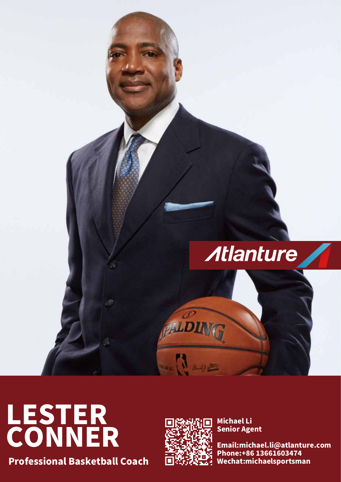

# LESTER<br>CONNER

**Professional Basketball Coach** 



**Michael Li Senior Agent** 

Email:michael.li@atlanture.com Phone: + 86 13661603474 Wechat:michaelsportsman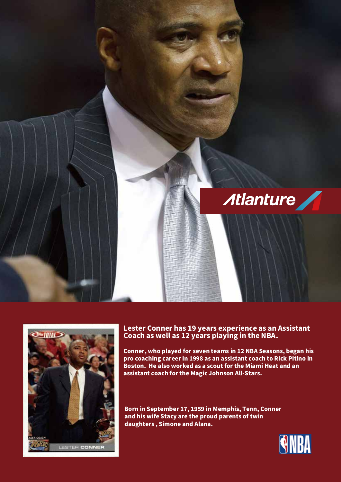



## Lester Conner has 19 years experience as an Assistant<br>Coach as well as 12 years playing in the NBA.

Conner, who played for seven teams in 12 NBA Seasons, began his pro coaching career in 1998 as an assistant coach to Rick Pitino in Boston. He also worked as a scout for the Miami Heat and an assistant coach for the Magic Johnson All-Stars.

Born in September 17, 1959 in Memphis, Tenn, Conner and his wife Stacy are the proud parents of twin daughters, Simone and Alana.

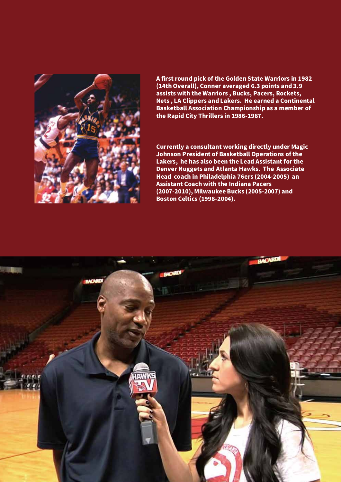

A first round pick of the Golden State Warriors in 1982 (14th Overall), Conner averaged 6.3 points and 3.9 assists with the Warriors, Bucks, Pacers, Rockets, Nets, LA Clippers and Lakers. He earned a Continental **Basketball Association Championship as a member of** the Rapid City Thrillers in 1986-1987.

**Currently a consultant working directly under Magic** Johnson President of Basketball Operations of the Lakers, he has also been the Lead Assistant for the **Denver Nuggets and Atlanta Hawks. The Associate** Head coach in Philadelphia 76ers (2004-2005) an **Assistant Coach with the Indiana Pacers** (2007-2010), Milwaukee Bucks (2005-2007) and **Boston Celtics (1998-2004).**